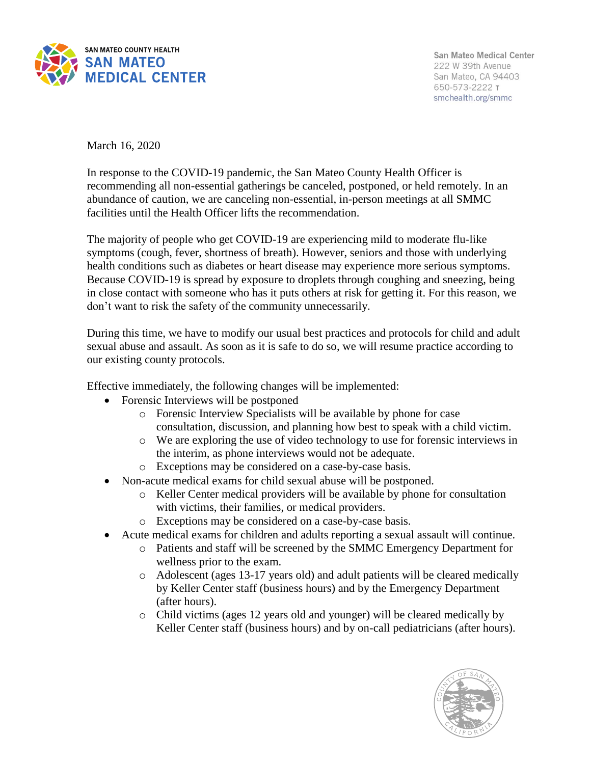

San Mateo Medical Center 222 W 39th Avenue San Mateo, CA 94403 650-573-2222 т smchealth.org/smmc

March 16, 2020

In response to the COVID-19 pandemic, the San Mateo County Health Officer is recommending all non-essential gatherings be canceled, postponed, or held remotely. In an abundance of caution, we are canceling non-essential, in-person meetings at all SMMC facilities until the Health Officer lifts the recommendation.

The majority of people who get COVID-19 are experiencing mild to moderate flu-like symptoms (cough, fever, shortness of breath). However, seniors and those with underlying health conditions such as diabetes or heart disease may experience more serious symptoms. Because COVID-19 is spread by exposure to droplets through coughing and sneezing, being in close contact with someone who has it puts others at risk for getting it. For this reason, we don't want to risk the safety of the community unnecessarily.

During this time, we have to modify our usual best practices and protocols for child and adult sexual abuse and assault. As soon as it is safe to do so, we will resume practice according to our existing county protocols.

Effective immediately, the following changes will be implemented:

- Forensic Interviews will be postponed
	- o Forensic Interview Specialists will be available by phone for case consultation, discussion, and planning how best to speak with a child victim.
	- o We are exploring the use of video technology to use for forensic interviews in the interim, as phone interviews would not be adequate.
	- o Exceptions may be considered on a case-by-case basis.
- Non-acute medical exams for child sexual abuse will be postponed.
	- o Keller Center medical providers will be available by phone for consultation with victims, their families, or medical providers.
	- o Exceptions may be considered on a case-by-case basis.
- Acute medical exams for children and adults reporting a sexual assault will continue.
	- o Patients and staff will be screened by the SMMC Emergency Department for wellness prior to the exam.
	- o Adolescent (ages 13-17 years old) and adult patients will be cleared medically by Keller Center staff (business hours) and by the Emergency Department (after hours).
	- o Child victims (ages 12 years old and younger) will be cleared medically by Keller Center staff (business hours) and by on-call pediatricians (after hours).